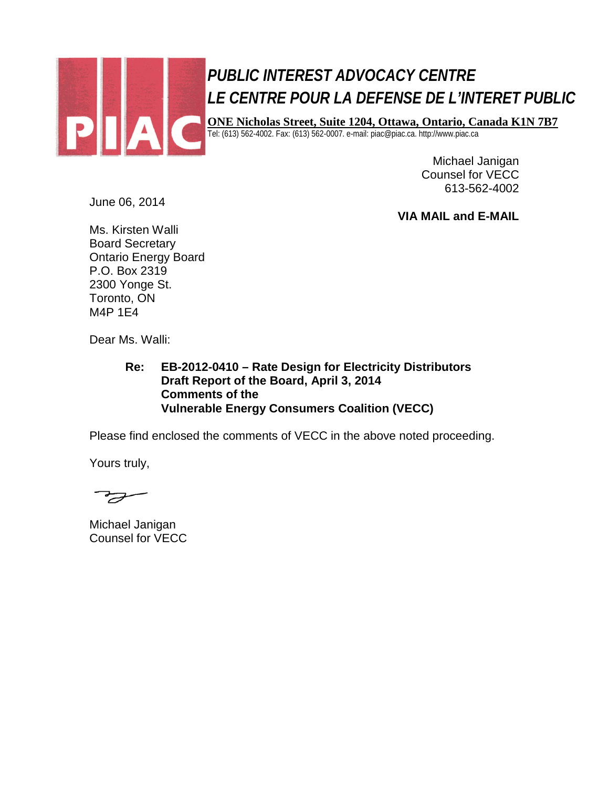

# *PUBLIC INTEREST ADVOCACY CENTRE PUBLIC INTEREST ADVOCACY CENTRE LE CENTRE POUR LA DEFENSE DE L'INTERET PUBLIC LE CENTRE POUR LA DEFENSE DE L'INTERET PUBLIC*

**ONE Nicholas Street, Suite 1204, Ottawa, Ontario, Canada K1N 7B7 ONE Nicholas Street, Suite 1204, Ottawa, Ontario, Canada K1N 7B7**

Tel: (613) 562-4002. Fax: (613) 562-0007. e-mail: piac@piac.ca. http://www.piac.ca Tel: (613) 562-4002. Fax: (613) 562-0007. e-mail: piac@piac.ca. http://www.piac.ca

Michael Janigan Counsel for VECC 613-562-4002

June 06, 2014

**VIA MAIL and E-MAIL**

Ms. Kirsten Walli Board Secretary Ontario Energy Board P.O. Box 2319 2300 Yonge St. Toronto, ON M4P 1E4

Dear Ms. Walli:

**Re: EB-2012-0410 – Rate Design for Electricity Distributors Draft Report of the Board, April 3, 2014 Comments of the Vulnerable Energy Consumers Coalition (VECC)**

Please find enclosed the comments of VECC in the above noted proceeding.

Yours truly,

 $\overline{\mathcal{F}}$ 

Michael Janigan Counsel for VECC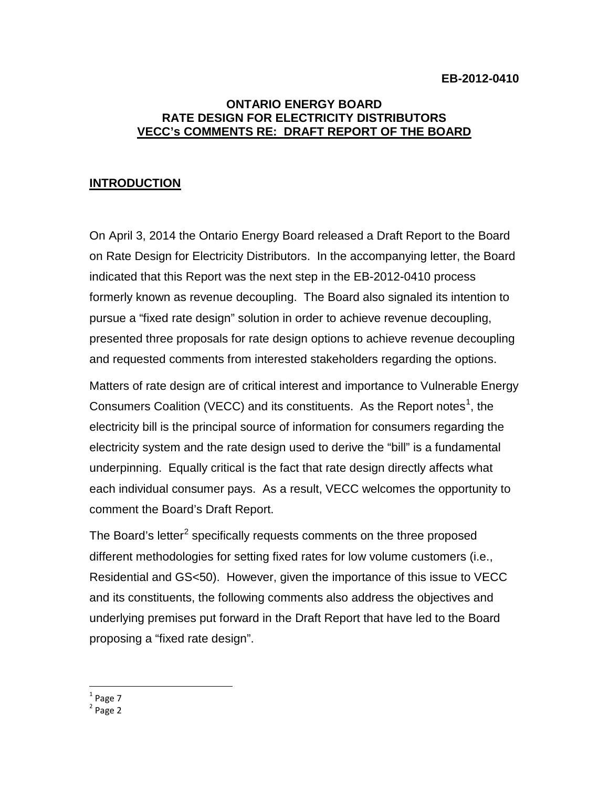#### **ONTARIO ENERGY BOARD RATE DESIGN FOR ELECTRICITY DISTRIBUTORS VECC's COMMENTS RE: DRAFT REPORT OF THE BOARD**

## **INTRODUCTION**

On April 3, 2014 the Ontario Energy Board released a Draft Report to the Board on Rate Design for Electricity Distributors. In the accompanying letter, the Board indicated that this Report was the next step in the EB-2012-0410 process formerly known as revenue decoupling. The Board also signaled its intention to pursue a "fixed rate design" solution in order to achieve revenue decoupling, presented three proposals for rate design options to achieve revenue decoupling and requested comments from interested stakeholders regarding the options.

Matters of rate design are of critical interest and importance to Vulnerable Energy Consumers Coalition (VECC) and its constituents. As the Report notes<sup>[1](#page-1-0)</sup>, the electricity bill is the principal source of information for consumers regarding the electricity system and the rate design used to derive the "bill" is a fundamental underpinning. Equally critical is the fact that rate design directly affects what each individual consumer pays. As a result, VECC welcomes the opportunity to comment the Board's Draft Report.

The Board's letter<sup>[2](#page-1-1)</sup> specifically requests comments on the three proposed different methodologies for setting fixed rates for low volume customers (i.e., Residential and GS<50). However, given the importance of this issue to VECC and its constituents, the following comments also address the objectives and underlying premises put forward in the Draft Report that have led to the Board proposing a "fixed rate design".

 $<sup>1</sup>$  Page 7</sup>

<span id="page-1-1"></span><span id="page-1-0"></span> $<sup>2</sup>$  Page 2</sup>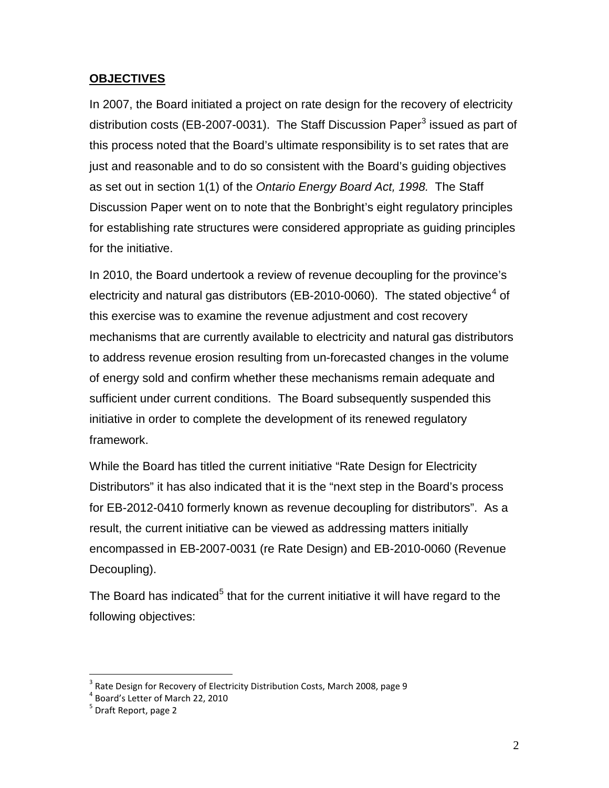### **OBJECTIVES**

In 2007, the Board initiated a project on rate design for the recovery of electricity distribution costs (EB-2007-00[3](#page-2-0)1). The Staff Discussion Paper<sup>3</sup> issued as part of this process noted that the Board's ultimate responsibility is to set rates that are just and reasonable and to do so consistent with the Board's guiding objectives as set out in section 1(1) of the *Ontario Energy Board Act, 1998.* The Staff Discussion Paper went on to note that the Bonbright's eight regulatory principles for establishing rate structures were considered appropriate as guiding principles for the initiative.

In 2010, the Board undertook a review of revenue decoupling for the province's electricity and natural gas distributors (EB-2010-0060). The stated objective<sup>[4](#page-2-1)</sup> of this exercise was to examine the revenue adjustment and cost recovery mechanisms that are currently available to electricity and natural gas distributors to address revenue erosion resulting from un-forecasted changes in the volume of energy sold and confirm whether these mechanisms remain adequate and sufficient under current conditions. The Board subsequently suspended this initiative in order to complete the development of its renewed regulatory framework.

While the Board has titled the current initiative "Rate Design for Electricity Distributors" it has also indicated that it is the "next step in the Board's process for EB-2012-0410 formerly known as revenue decoupling for distributors". As a result, the current initiative can be viewed as addressing matters initially encompassed in EB-2007-0031 (re Rate Design) and EB-2010-0060 (Revenue Decoupling).

The Board has indicated<sup>[5](#page-2-2)</sup> that for the current initiative it will have regard to the following objectives:

<span id="page-2-0"></span> $3$  Rate Design for Recovery of Electricity Distribution Costs, March 2008, page 9

<span id="page-2-1"></span> $\frac{4}{3}$  Board's Letter of March 22, 2010

<span id="page-2-2"></span>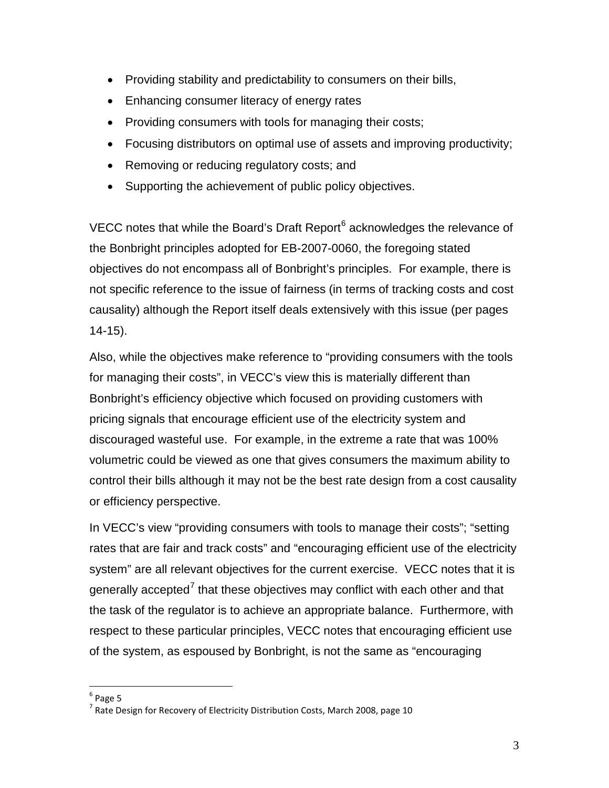- Providing stability and predictability to consumers on their bills,
- Enhancing consumer literacy of energy rates
- Providing consumers with tools for managing their costs;
- Focusing distributors on optimal use of assets and improving productivity;
- Removing or reducing regulatory costs; and
- Supporting the achievement of public policy objectives.

VECC notes that while the Board's Draft Report<sup>[6](#page-3-0)</sup> acknowledges the relevance of the Bonbright principles adopted for EB-2007-0060, the foregoing stated objectives do not encompass all of Bonbright's principles. For example, there is not specific reference to the issue of fairness (in terms of tracking costs and cost causality) although the Report itself deals extensively with this issue (per pages 14-15).

Also, while the objectives make reference to "providing consumers with the tools for managing their costs", in VECC's view this is materially different than Bonbright's efficiency objective which focused on providing customers with pricing signals that encourage efficient use of the electricity system and discouraged wasteful use. For example, in the extreme a rate that was 100% volumetric could be viewed as one that gives consumers the maximum ability to control their bills although it may not be the best rate design from a cost causality or efficiency perspective.

In VECC's view "providing consumers with tools to manage their costs"; "setting rates that are fair and track costs" and "encouraging efficient use of the electricity system" are all relevant objectives for the current exercise. VECC notes that it is generally accepted<sup>[7](#page-3-1)</sup> that these objectives may conflict with each other and that the task of the regulator is to achieve an appropriate balance. Furthermore, with respect to these particular principles, VECC notes that encouraging efficient use of the system, as espoused by Bonbright, is not the same as "encouraging

<span id="page-3-0"></span> $6$  Page 5

<span id="page-3-1"></span> $7$  Rate Design for Recovery of Electricity Distribution Costs, March 2008, page 10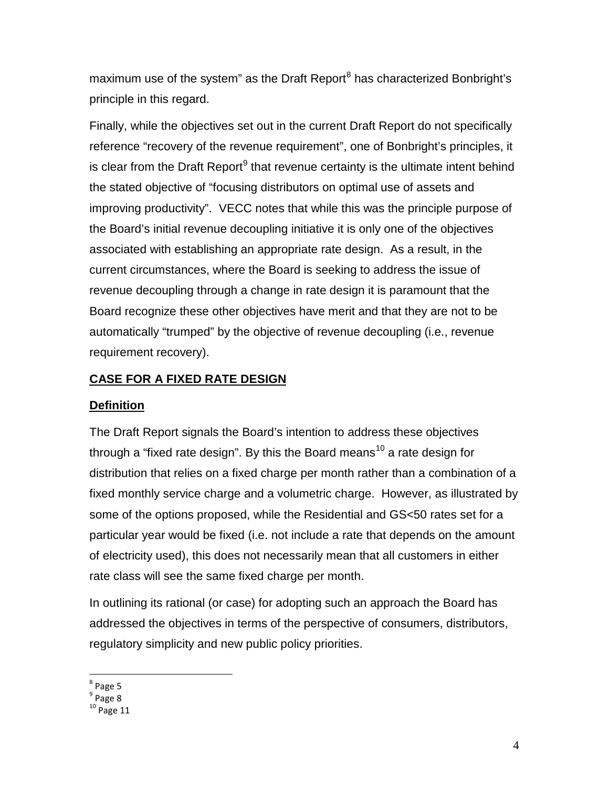maximum use of the system" as the Draft Report<sup>[8](#page-4-0)</sup> has characterized Bonbright's principle in this regard.

Finally, while the objectives set out in the current Draft Report do not specifically reference "recovery of the revenue requirement", one of Bonbright's principles, it is clear from the Draft Report $9$  that revenue certainty is the ultimate intent behind the stated objective of "focusing distributors on optimal use of assets and improving productivity". VECC notes that while this was the principle purpose of the Board's initial revenue decoupling initiative it is only one of the objectives associated with establishing an appropriate rate design. As a result, in the current circumstances, where the Board is seeking to address the issue of revenue decoupling through a change in rate design it is paramount that the Board recognize these other objectives have merit and that they are not to be automatically "trumped" by the objective of revenue decoupling (i.e., revenue requirement recovery).

## **CASE FOR A FIXED RATE DESIGN**

#### **Definition**

The Draft Report signals the Board's intention to address these objectives through a "fixed rate design". By this the Board means<sup>[10](#page-4-2)</sup> a rate design for distribution that relies on a fixed charge per month rather than a combination of a fixed monthly service charge and a volumetric charge. However, as illustrated by some of the options proposed, while the Residential and GS<50 rates set for a particular year would be fixed (i.e. not include a rate that depends on the amount of electricity used), this does not necessarily mean that all customers in either rate class will see the same fixed charge per month.

In outlining its rational (or case) for adopting such an approach the Board has addressed the objectives in terms of the perspective of consumers, distributors, regulatory simplicity and new public policy priorities.

<span id="page-4-0"></span><sup>&</sup>lt;sup>8</sup> Page 5

<span id="page-4-1"></span> $9$  Page 8

<span id="page-4-2"></span> $10$  Page 11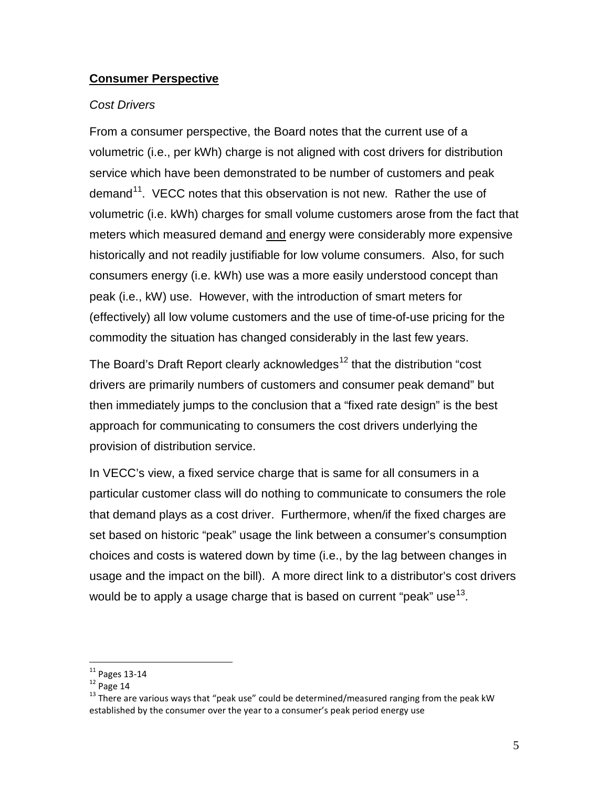#### **Consumer Perspective**

#### *Cost Drivers*

From a consumer perspective, the Board notes that the current use of a volumetric (i.e., per kWh) charge is not aligned with cost drivers for distribution service which have been demonstrated to be number of customers and peak demand<sup>11</sup>. VECC notes that this observation is not new. Rather the use of volumetric (i.e. kWh) charges for small volume customers arose from the fact that meters which measured demand and energy were considerably more expensive historically and not readily justifiable for low volume consumers. Also, for such consumers energy (i.e. kWh) use was a more easily understood concept than peak (i.e., kW) use. However, with the introduction of smart meters for (effectively) all low volume customers and the use of time-of-use pricing for the commodity the situation has changed considerably in the last few years.

The Board's Draft Report clearly acknowledges<sup>[12](#page-5-1)</sup> that the distribution "cost" drivers are primarily numbers of customers and consumer peak demand" but then immediately jumps to the conclusion that a "fixed rate design" is the best approach for communicating to consumers the cost drivers underlying the provision of distribution service.

In VECC's view, a fixed service charge that is same for all consumers in a particular customer class will do nothing to communicate to consumers the role that demand plays as a cost driver. Furthermore, when/if the fixed charges are set based on historic "peak" usage the link between a consumer's consumption choices and costs is watered down by time (i.e., by the lag between changes in usage and the impact on the bill). A more direct link to a distributor's cost drivers would be to apply a usage charge that is based on current "peak" use  $13$ .

<span id="page-5-2"></span><span id="page-5-1"></span>

<span id="page-5-0"></span><sup>&</sup>lt;sup>11</sup> Pages 13-14<br><sup>12</sup> Page 14<br><sup>13</sup> There are various ways that "peak use" could be determined/measured ranging from the peak kW established by the consumer over the year to a consumer's peak period energy use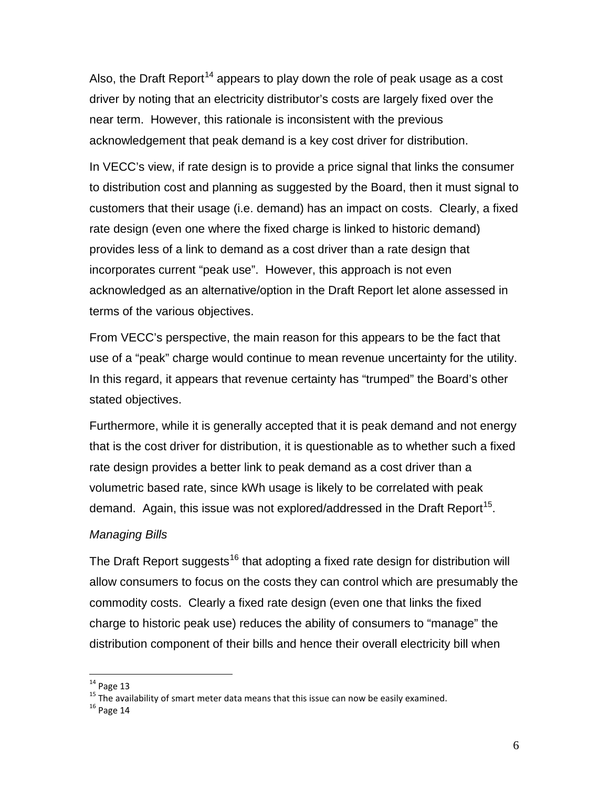Also, the Draft Report<sup>[14](#page-6-0)</sup> appears to play down the role of peak usage as a cost driver by noting that an electricity distributor's costs are largely fixed over the near term. However, this rationale is inconsistent with the previous acknowledgement that peak demand is a key cost driver for distribution.

In VECC's view, if rate design is to provide a price signal that links the consumer to distribution cost and planning as suggested by the Board, then it must signal to customers that their usage (i.e. demand) has an impact on costs. Clearly, a fixed rate design (even one where the fixed charge is linked to historic demand) provides less of a link to demand as a cost driver than a rate design that incorporates current "peak use". However, this approach is not even acknowledged as an alternative/option in the Draft Report let alone assessed in terms of the various objectives.

From VECC's perspective, the main reason for this appears to be the fact that use of a "peak" charge would continue to mean revenue uncertainty for the utility. In this regard, it appears that revenue certainty has "trumped" the Board's other stated objectives.

Furthermore, while it is generally accepted that it is peak demand and not energy that is the cost driver for distribution, it is questionable as to whether such a fixed rate design provides a better link to peak demand as a cost driver than a volumetric based rate, since kWh usage is likely to be correlated with peak demand. Again, this issue was not explored/addressed in the Draft Report<sup>[15](#page-6-1)</sup>.

#### *Managing Bills*

The Draft Report suggests<sup>[16](#page-6-2)</sup> that adopting a fixed rate design for distribution will allow consumers to focus on the costs they can control which are presumably the commodity costs. Clearly a fixed rate design (even one that links the fixed charge to historic peak use) reduces the ability of consumers to "manage" the distribution component of their bills and hence their overall electricity bill when

<span id="page-6-1"></span><span id="page-6-0"></span><sup>&</sup>lt;sup>14</sup> Page 13<br><sup>15</sup> The availability of smart meter data means that this issue can now be easily examined.<br><sup>16</sup> Page 14

<span id="page-6-2"></span>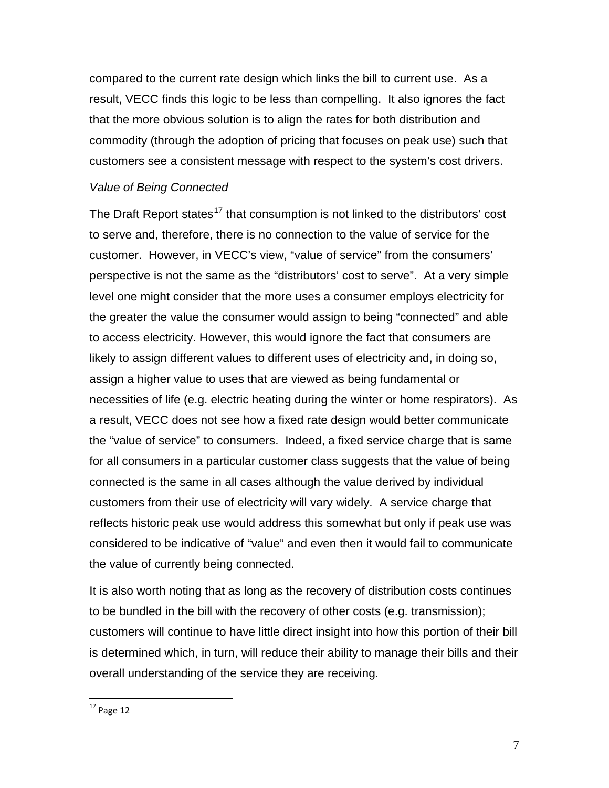compared to the current rate design which links the bill to current use. As a result, VECC finds this logic to be less than compelling. It also ignores the fact that the more obvious solution is to align the rates for both distribution and commodity (through the adoption of pricing that focuses on peak use) such that customers see a consistent message with respect to the system's cost drivers.

#### *Value of Being Connected*

The Draft Report states<sup>[17](#page-7-0)</sup> that consumption is not linked to the distributors' cost to serve and, therefore, there is no connection to the value of service for the customer. However, in VECC's view, "value of service" from the consumers' perspective is not the same as the "distributors' cost to serve". At a very simple level one might consider that the more uses a consumer employs electricity for the greater the value the consumer would assign to being "connected" and able to access electricity. However, this would ignore the fact that consumers are likely to assign different values to different uses of electricity and, in doing so, assign a higher value to uses that are viewed as being fundamental or necessities of life (e.g. electric heating during the winter or home respirators). As a result, VECC does not see how a fixed rate design would better communicate the "value of service" to consumers. Indeed, a fixed service charge that is same for all consumers in a particular customer class suggests that the value of being connected is the same in all cases although the value derived by individual customers from their use of electricity will vary widely. A service charge that reflects historic peak use would address this somewhat but only if peak use was considered to be indicative of "value" and even then it would fail to communicate the value of currently being connected.

It is also worth noting that as long as the recovery of distribution costs continues to be bundled in the bill with the recovery of other costs (e.g. transmission); customers will continue to have little direct insight into how this portion of their bill is determined which, in turn, will reduce their ability to manage their bills and their overall understanding of the service they are receiving.

<span id="page-7-0"></span> $17$  Page 12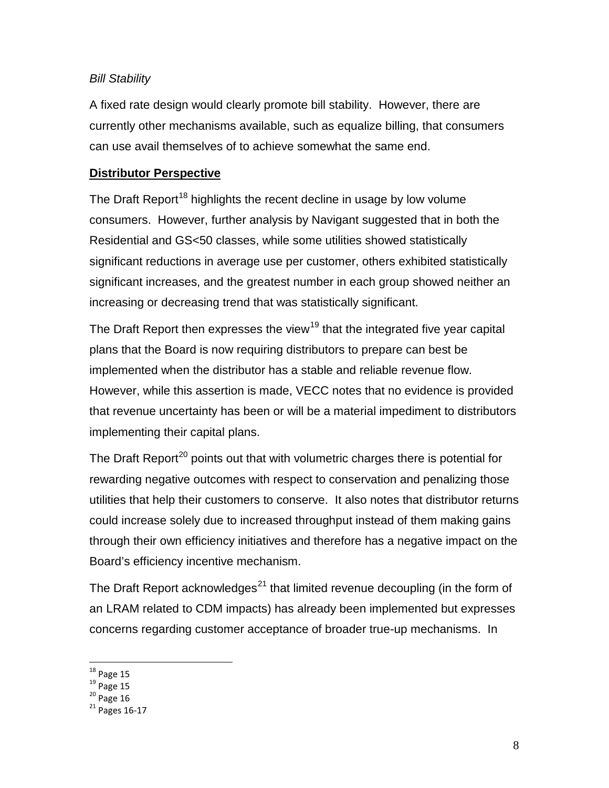## *Bill Stability*

A fixed rate design would clearly promote bill stability. However, there are currently other mechanisms available, such as equalize billing, that consumers can use avail themselves of to achieve somewhat the same end.

### **Distributor Perspective**

The Draft Report<sup>[18](#page-8-0)</sup> highlights the recent decline in usage by low volume consumers. However, further analysis by Navigant suggested that in both the Residential and GS<50 classes, while some utilities showed statistically significant reductions in average use per customer, others exhibited statistically significant increases, and the greatest number in each group showed neither an increasing or decreasing trend that was statistically significant.

The Draft Report then expresses the view<sup>[19](#page-8-1)</sup> that the integrated five year capital plans that the Board is now requiring distributors to prepare can best be implemented when the distributor has a stable and reliable revenue flow. However, while this assertion is made, VECC notes that no evidence is provided that revenue uncertainty has been or will be a material impediment to distributors implementing their capital plans.

The Draft Report<sup>[20](#page-8-2)</sup> points out that with volumetric charges there is potential for rewarding negative outcomes with respect to conservation and penalizing those utilities that help their customers to conserve. It also notes that distributor returns could increase solely due to increased throughput instead of them making gains through their own efficiency initiatives and therefore has a negative impact on the Board's efficiency incentive mechanism.

The Draft Report acknowledges<sup>[21](#page-8-3)</sup> that limited revenue decoupling (in the form of an LRAM related to CDM impacts) has already been implemented but expresses concerns regarding customer acceptance of broader true-up mechanisms. In

<span id="page-8-3"></span><span id="page-8-2"></span>

<span id="page-8-1"></span><span id="page-8-0"></span><sup>&</sup>lt;sup>18</sup> Page 15<br><sup>19</sup> Page 15<br><sup>20</sup> Page 16<br><sup>21</sup> Pages 16-17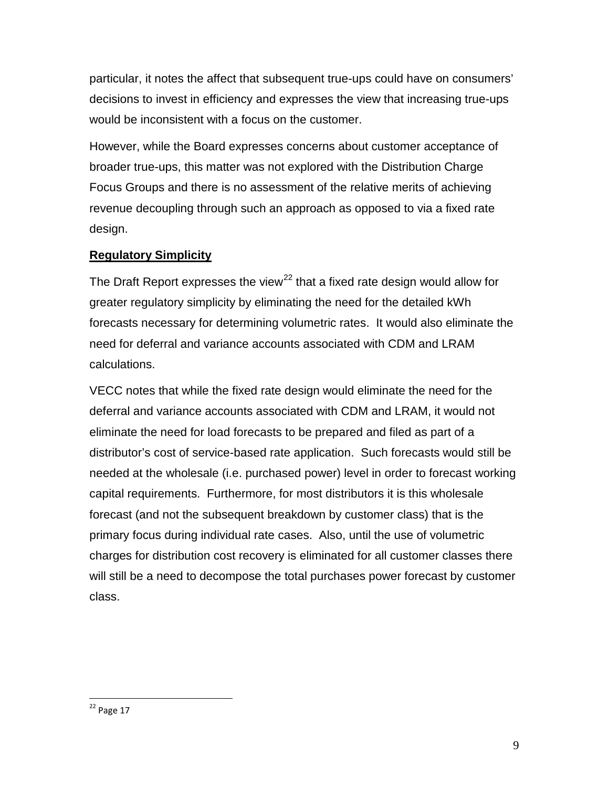particular, it notes the affect that subsequent true-ups could have on consumers' decisions to invest in efficiency and expresses the view that increasing true-ups would be inconsistent with a focus on the customer.

However, while the Board expresses concerns about customer acceptance of broader true-ups, this matter was not explored with the Distribution Charge Focus Groups and there is no assessment of the relative merits of achieving revenue decoupling through such an approach as opposed to via a fixed rate design.

## **Regulatory Simplicity**

The Draft Report expresses the view<sup>[22](#page-9-0)</sup> that a fixed rate design would allow for greater regulatory simplicity by eliminating the need for the detailed kWh forecasts necessary for determining volumetric rates. It would also eliminate the need for deferral and variance accounts associated with CDM and LRAM calculations.

VECC notes that while the fixed rate design would eliminate the need for the deferral and variance accounts associated with CDM and LRAM, it would not eliminate the need for load forecasts to be prepared and filed as part of a distributor's cost of service-based rate application. Such forecasts would still be needed at the wholesale (i.e. purchased power) level in order to forecast working capital requirements. Furthermore, for most distributors it is this wholesale forecast (and not the subsequent breakdown by customer class) that is the primary focus during individual rate cases. Also, until the use of volumetric charges for distribution cost recovery is eliminated for all customer classes there will still be a need to decompose the total purchases power forecast by customer class.

<span id="page-9-0"></span><sup>22</sup> Page 17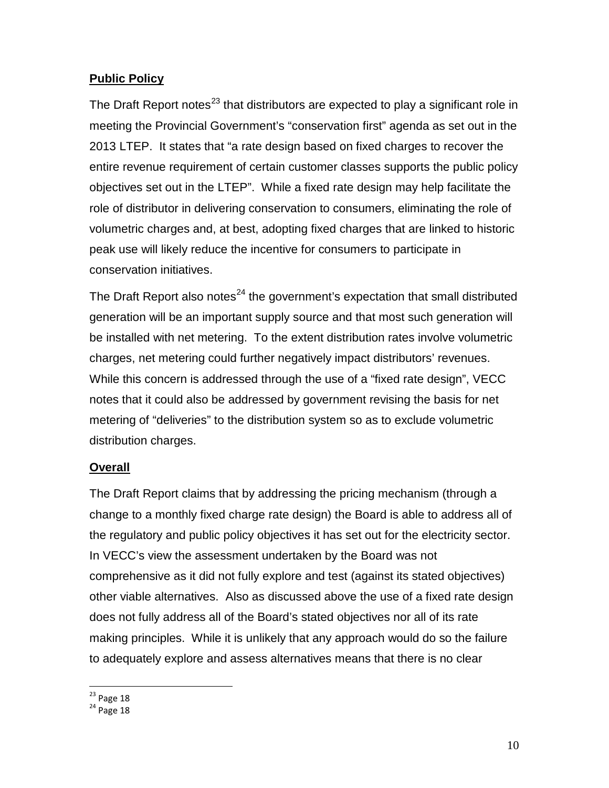## **Public Policy**

The Draft Report notes $^{23}$  $^{23}$  $^{23}$  that distributors are expected to play a significant role in meeting the Provincial Government's "conservation first" agenda as set out in the 2013 LTEP. It states that "a rate design based on fixed charges to recover the entire revenue requirement of certain customer classes supports the public policy objectives set out in the LTEP". While a fixed rate design may help facilitate the role of distributor in delivering conservation to consumers, eliminating the role of volumetric charges and, at best, adopting fixed charges that are linked to historic peak use will likely reduce the incentive for consumers to participate in conservation initiatives.

The Draft Report also notes<sup>[24](#page-10-1)</sup> the government's expectation that small distributed generation will be an important supply source and that most such generation will be installed with net metering. To the extent distribution rates involve volumetric charges, net metering could further negatively impact distributors' revenues. While this concern is addressed through the use of a "fixed rate design", VECC notes that it could also be addressed by government revising the basis for net metering of "deliveries" to the distribution system so as to exclude volumetric distribution charges.

## **Overall**

The Draft Report claims that by addressing the pricing mechanism (through a change to a monthly fixed charge rate design) the Board is able to address all of the regulatory and public policy objectives it has set out for the electricity sector. In VECC's view the assessment undertaken by the Board was not comprehensive as it did not fully explore and test (against its stated objectives) other viable alternatives. Also as discussed above the use of a fixed rate design does not fully address all of the Board's stated objectives nor all of its rate making principles. While it is unlikely that any approach would do so the failure to adequately explore and assess alternatives means that there is no clear

<span id="page-10-1"></span><span id="page-10-0"></span> $^{23}$  Page 18<br> $^{24}$  Page 18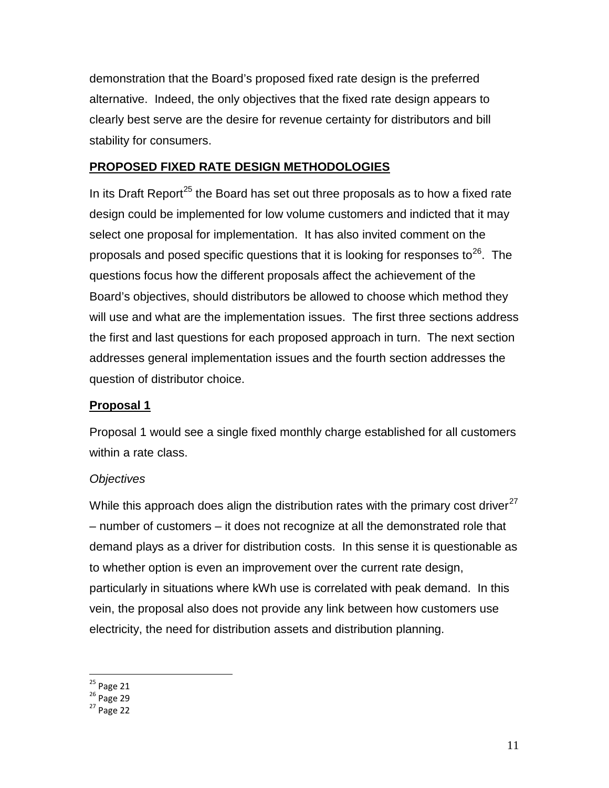demonstration that the Board's proposed fixed rate design is the preferred alternative. Indeed, the only objectives that the fixed rate design appears to clearly best serve are the desire for revenue certainty for distributors and bill stability for consumers.

## **PROPOSED FIXED RATE DESIGN METHODOLOGIES**

In its Draft Report<sup>[25](#page-11-0)</sup> the Board has set out three proposals as to how a fixed rate design could be implemented for low volume customers and indicted that it may select one proposal for implementation. It has also invited comment on the proposals and posed specific questions that it is looking for responses to<sup>[26](#page-11-1)</sup>. The questions focus how the different proposals affect the achievement of the Board's objectives, should distributors be allowed to choose which method they will use and what are the implementation issues. The first three sections address the first and last questions for each proposed approach in turn. The next section addresses general implementation issues and the fourth section addresses the question of distributor choice.

## **Proposal 1**

Proposal 1 would see a single fixed monthly charge established for all customers within a rate class.

## *Objectives*

While this approach does align the distribution rates with the primary cost driver $^{27}$  $^{27}$  $^{27}$ – number of customers – it does not recognize at all the demonstrated role that demand plays as a driver for distribution costs. In this sense it is questionable as to whether option is even an improvement over the current rate design, particularly in situations where kWh use is correlated with peak demand. In this vein, the proposal also does not provide any link between how customers use electricity, the need for distribution assets and distribution planning.

<span id="page-11-0"></span> $^{25}$  Page 21<br> $^{26}$  Page 29<br> $^{27}$  Page 22

<span id="page-11-1"></span>

<span id="page-11-2"></span>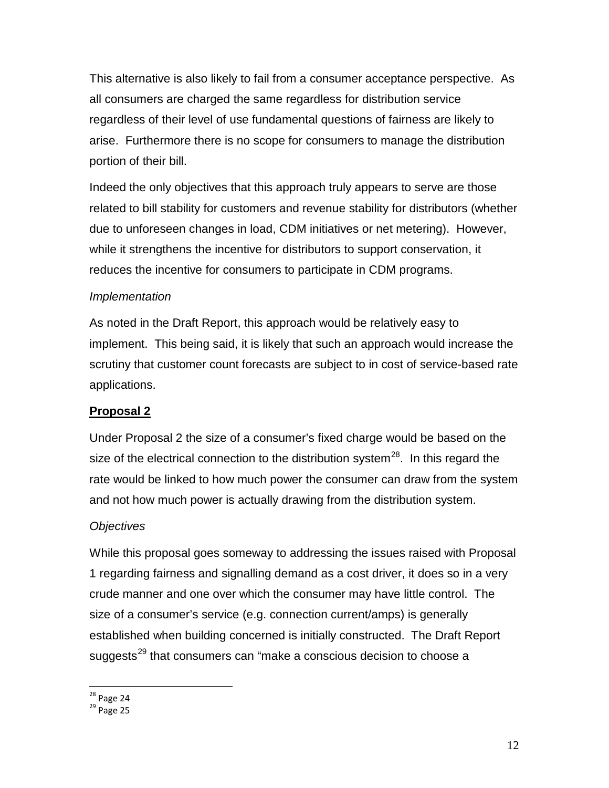This alternative is also likely to fail from a consumer acceptance perspective. As all consumers are charged the same regardless for distribution service regardless of their level of use fundamental questions of fairness are likely to arise. Furthermore there is no scope for consumers to manage the distribution portion of their bill.

Indeed the only objectives that this approach truly appears to serve are those related to bill stability for customers and revenue stability for distributors (whether due to unforeseen changes in load, CDM initiatives or net metering). However, while it strengthens the incentive for distributors to support conservation, it reduces the incentive for consumers to participate in CDM programs.

### *Implementation*

As noted in the Draft Report, this approach would be relatively easy to implement. This being said, it is likely that such an approach would increase the scrutiny that customer count forecasts are subject to in cost of service-based rate applications.

## **Proposal 2**

Under Proposal 2 the size of a consumer's fixed charge would be based on the size of the electrical connection to the distribution system<sup>[28](#page-12-0)</sup>. In this regard the rate would be linked to how much power the consumer can draw from the system and not how much power is actually drawing from the distribution system.

#### *Objectives*

While this proposal goes someway to addressing the issues raised with Proposal 1 regarding fairness and signalling demand as a cost driver, it does so in a very crude manner and one over which the consumer may have little control. The size of a consumer's service (e.g. connection current/amps) is generally established when building concerned is initially constructed. The Draft Report suggests<sup>[29](#page-12-1)</sup> that consumers can "make a conscious decision to choose a

<span id="page-12-1"></span><span id="page-12-0"></span> $^{28}$  Page 24<br> $^{29}$  Page 25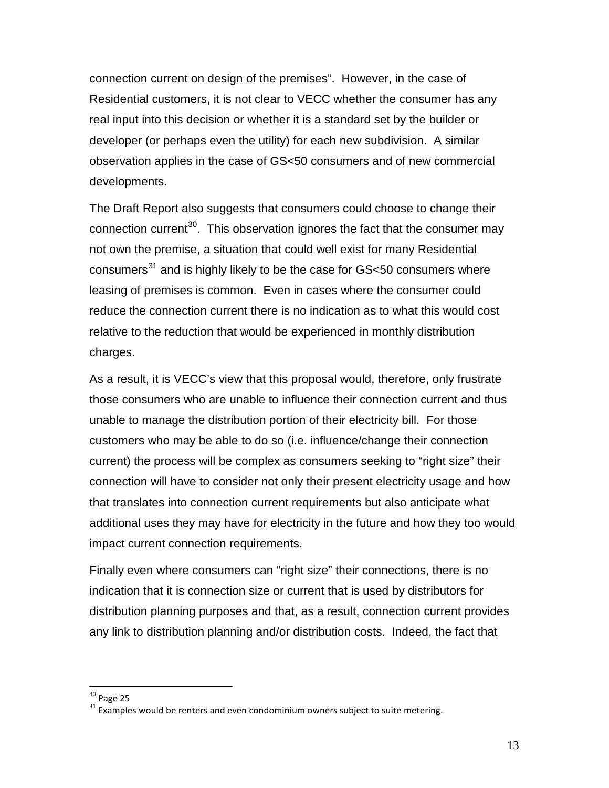connection current on design of the premises". However, in the case of Residential customers, it is not clear to VECC whether the consumer has any real input into this decision or whether it is a standard set by the builder or developer (or perhaps even the utility) for each new subdivision. A similar observation applies in the case of GS<50 consumers and of new commercial developments.

The Draft Report also suggests that consumers could choose to change their connection current<sup>[30](#page-13-0)</sup>. This observation ignores the fact that the consumer may not own the premise, a situation that could well exist for many Residential consumers $31$  and is highly likely to be the case for GS $<50$  consumers where leasing of premises is common. Even in cases where the consumer could reduce the connection current there is no indication as to what this would cost relative to the reduction that would be experienced in monthly distribution charges.

As a result, it is VECC's view that this proposal would, therefore, only frustrate those consumers who are unable to influence their connection current and thus unable to manage the distribution portion of their electricity bill. For those customers who may be able to do so (i.e. influence/change their connection current) the process will be complex as consumers seeking to "right size" their connection will have to consider not only their present electricity usage and how that translates into connection current requirements but also anticipate what additional uses they may have for electricity in the future and how they too would impact current connection requirements.

Finally even where consumers can "right size" their connections, there is no indication that it is connection size or current that is used by distributors for distribution planning purposes and that, as a result, connection current provides any link to distribution planning and/or distribution costs. Indeed, the fact that

<span id="page-13-1"></span><span id="page-13-0"></span> $30$  Page 25<br> $31$  Examples would be renters and even condominium owners subject to suite metering.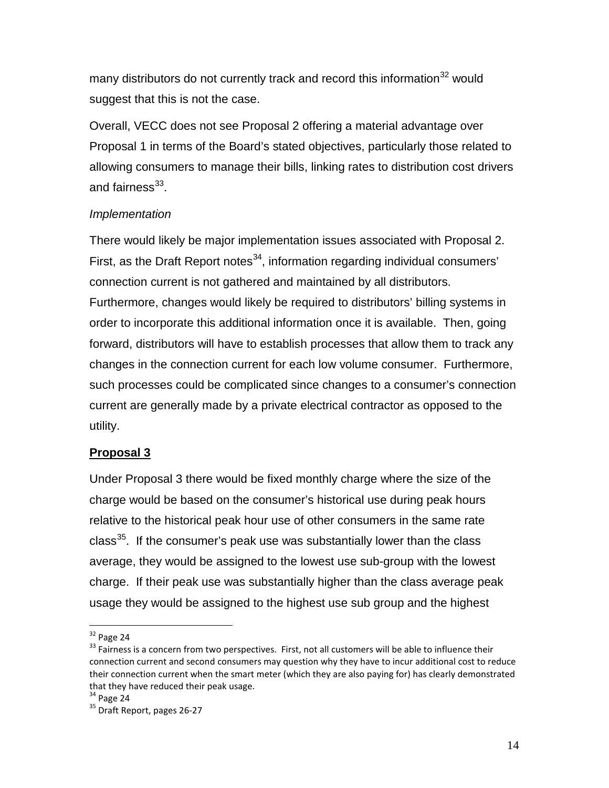many distributors do not currently track and record this information<sup>[32](#page-14-0)</sup> would suggest that this is not the case.

Overall, VECC does not see Proposal 2 offering a material advantage over Proposal 1 in terms of the Board's stated objectives, particularly those related to allowing consumers to manage their bills, linking rates to distribution cost drivers and fairness $^{33}$ .

## *Implementation*

There would likely be major implementation issues associated with Proposal 2. First, as the Draft Report notes<sup>[34](#page-14-2)</sup>, information regarding individual consumers' connection current is not gathered and maintained by all distributors. Furthermore, changes would likely be required to distributors' billing systems in order to incorporate this additional information once it is available. Then, going forward, distributors will have to establish processes that allow them to track any changes in the connection current for each low volume consumer. Furthermore, such processes could be complicated since changes to a consumer's connection current are generally made by a private electrical contractor as opposed to the utility.

## **Proposal 3**

Under Proposal 3 there would be fixed monthly charge where the size of the charge would be based on the consumer's historical use during peak hours relative to the historical peak hour use of other consumers in the same rate class<sup>35</sup>. If the consumer's peak use was substantially lower than the class average, they would be assigned to the lowest use sub-group with the lowest charge. If their peak use was substantially higher than the class average peak usage they would be assigned to the highest use sub group and the highest

<span id="page-14-1"></span><span id="page-14-0"></span> $32$  Page 24<br> $33$  Fairness is a concern from two perspectives. First, not all customers will be able to influence their connection current and second consumers may question why they have to incur additional cost to reduce their connection current when the smart meter (which they are also paying for) has clearly demonstrated that they have reduced their peak usage.<br> $34$  Page 24

<span id="page-14-3"></span><span id="page-14-2"></span> $35$  Draft Report, pages 26-27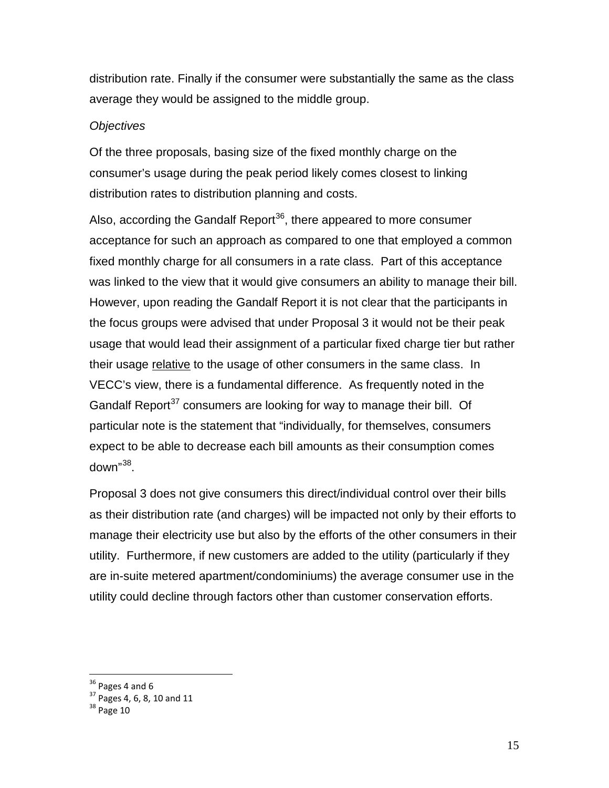distribution rate. Finally if the consumer were substantially the same as the class average they would be assigned to the middle group.

#### *Objectives*

Of the three proposals, basing size of the fixed monthly charge on the consumer's usage during the peak period likely comes closest to linking distribution rates to distribution planning and costs.

Also, according the Gandalf Report<sup>[36](#page-15-0)</sup>, there appeared to more consumer acceptance for such an approach as compared to one that employed a common fixed monthly charge for all consumers in a rate class. Part of this acceptance was linked to the view that it would give consumers an ability to manage their bill. However, upon reading the Gandalf Report it is not clear that the participants in the focus groups were advised that under Proposal 3 it would not be their peak usage that would lead their assignment of a particular fixed charge tier but rather their usage relative to the usage of other consumers in the same class. In VECC's view, there is a fundamental difference. As frequently noted in the Gandalf Report $37$  consumers are looking for way to manage their bill. Of particular note is the statement that "individually, for themselves, consumers expect to be able to decrease each bill amounts as their consumption comes down"[38](#page-15-2).

Proposal 3 does not give consumers this direct/individual control over their bills as their distribution rate (and charges) will be impacted not only by their efforts to manage their electricity use but also by the efforts of the other consumers in their utility. Furthermore, if new customers are added to the utility (particularly if they are in-suite metered apartment/condominiums) the average consumer use in the utility could decline through factors other than customer conservation efforts.

<span id="page-15-1"></span><span id="page-15-0"></span> $36 \overline{37}$  Pages 4 and 6<br> $37$  Pages 4, 6, 8, 10 and 11<br> $38$  Page 10

<span id="page-15-2"></span>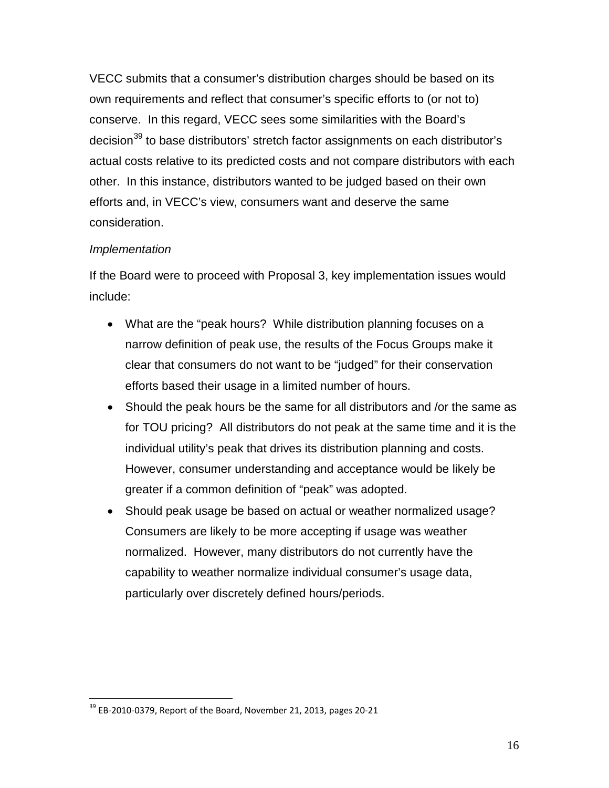VECC submits that a consumer's distribution charges should be based on its own requirements and reflect that consumer's specific efforts to (or not to) conserve. In this regard, VECC sees some similarities with the Board's decision<sup>[39](#page-16-0)</sup> to base distributors' stretch factor assignments on each distributor's actual costs relative to its predicted costs and not compare distributors with each other. In this instance, distributors wanted to be judged based on their own efforts and, in VECC's view, consumers want and deserve the same consideration.

## *Implementation*

If the Board were to proceed with Proposal 3, key implementation issues would include:

- What are the "peak hours? While distribution planning focuses on a narrow definition of peak use, the results of the Focus Groups make it clear that consumers do not want to be "judged" for their conservation efforts based their usage in a limited number of hours.
- Should the peak hours be the same for all distributors and /or the same as for TOU pricing? All distributors do not peak at the same time and it is the individual utility's peak that drives its distribution planning and costs. However, consumer understanding and acceptance would be likely be greater if a common definition of "peak" was adopted.
- Should peak usage be based on actual or weather normalized usage? Consumers are likely to be more accepting if usage was weather normalized. However, many distributors do not currently have the capability to weather normalize individual consumer's usage data, particularly over discretely defined hours/periods.

<span id="page-16-0"></span> $39$  EB-2010-0379, Report of the Board, November 21, 2013, pages 20-21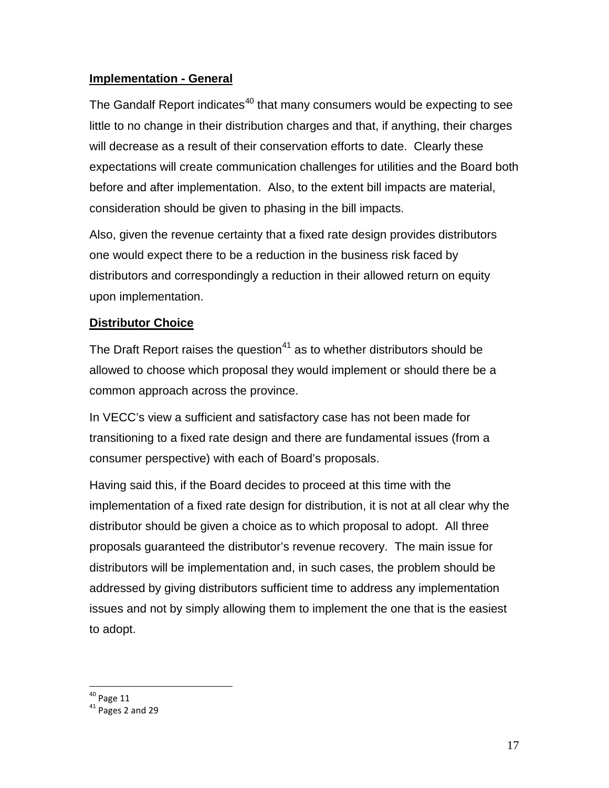## **Implementation - General**

The Gandalf Report indicates<sup>[40](#page-17-0)</sup> that many consumers would be expecting to see little to no change in their distribution charges and that, if anything, their charges will decrease as a result of their conservation efforts to date. Clearly these expectations will create communication challenges for utilities and the Board both before and after implementation. Also, to the extent bill impacts are material, consideration should be given to phasing in the bill impacts.

Also, given the revenue certainty that a fixed rate design provides distributors one would expect there to be a reduction in the business risk faced by distributors and correspondingly a reduction in their allowed return on equity upon implementation.

## **Distributor Choice**

The Draft Report raises the question<sup>[41](#page-17-1)</sup> as to whether distributors should be allowed to choose which proposal they would implement or should there be a common approach across the province.

In VECC's view a sufficient and satisfactory case has not been made for transitioning to a fixed rate design and there are fundamental issues (from a consumer perspective) with each of Board's proposals.

Having said this, if the Board decides to proceed at this time with the implementation of a fixed rate design for distribution, it is not at all clear why the distributor should be given a choice as to which proposal to adopt. All three proposals guaranteed the distributor's revenue recovery. The main issue for distributors will be implementation and, in such cases, the problem should be addressed by giving distributors sufficient time to address any implementation issues and not by simply allowing them to implement the one that is the easiest to adopt.

<span id="page-17-1"></span><span id="page-17-0"></span> $40^{40}$  Page 11<br> $41^{41}$  Pages 2 and 29